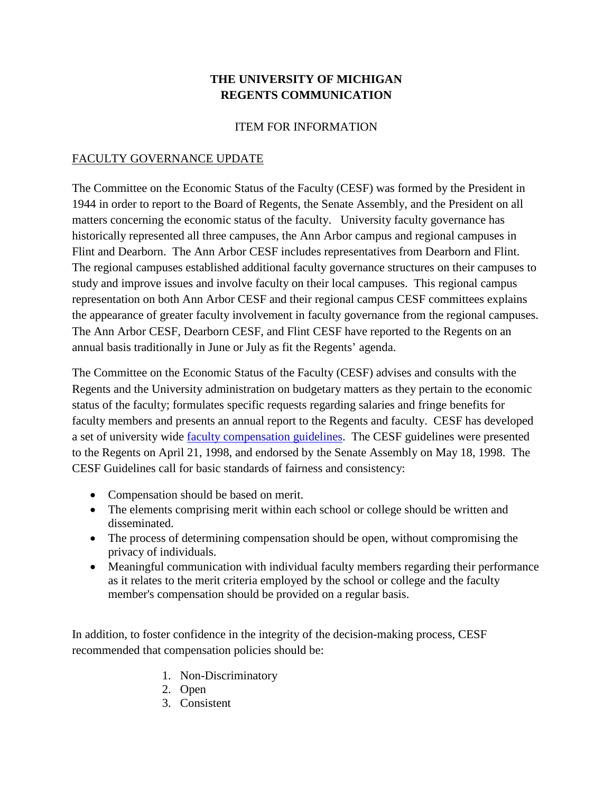## **THE UNIVERSITY OF MICHIGAN REGENTS COMMUNICATION**

## ITEM FOR INFORMATION

## FACULTY GOVERNANCE UPDATE

The Committee on the Economic Status of the Faculty (CESF) was formed by the President in 1944 in order to report to the Board of Regents, the Senate Assembly, and the President on all matters concerning the economic status of the faculty. University faculty governance has historically represented all three campuses, the Ann Arbor campus and regional campuses in Flint and Dearborn. The Ann Arbor CESF includes representatives from Dearborn and Flint. The regional campuses established additional faculty governance structures on their campuses to study and improve issues and involve faculty on their local campuses. This regional campus representation on both Ann Arbor CESF and their regional campus CESF committees explains the appearance of greater faculty involvement in faculty governance from the regional campuses. The Ann Arbor CESF, Dearborn CESF, and Flint CESF have reported to the Regents on an annual basis traditionally in June or July as fit the Regents' agenda.

The Committee on the Economic Status of the Faculty (CESF) advises and consults with the Regents and the University administration on budgetary matters as they pertain to the economic status of the faculty; formulates specific requests regarding salaries and fringe benefits for faculty members and presents an annual report to the Regents and faculty. CESF has developed a set of university wide **faculty compensation guidelines**. The CESF guidelines were presented to the Regents on April 21, 1998, and endorsed by the Senate Assembly on May 18, 1998. The CESF Guidelines call for basic standards of fairness and consistency:

- Compensation should be based on merit.
- The elements comprising merit within each school or college should be written and disseminated.
- The process of determining compensation should be open, without compromising the privacy of individuals.
- Meaningful communication with individual faculty members regarding their performance as it relates to the merit criteria employed by the school or college and the faculty member's compensation should be provided on a regular basis.

In addition, to foster confidence in the integrity of the decision-making process, CESF recommended that compensation policies should be:

- 1. Non-Discriminatory
- 2. Open
- 3. Consistent